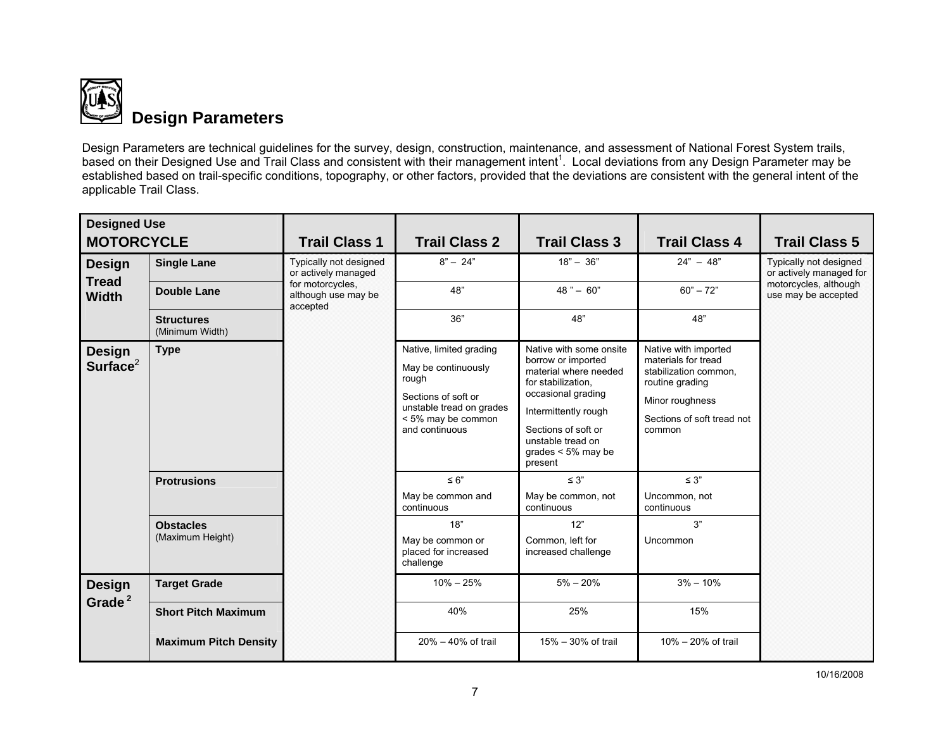

Design Parameters are technical guidelines for the survey, design, construction, maintenance, and assessment of National Forest System trails, based on their Designed Use and Trail Class and consistent with their management intent<sup>1</sup>. Local deviations from any Design Parameter may be established based on trail-specific conditions, topography, or other factors, provided that the deviations are consistent with the general intent of the applicable Trail Class.

| <b>Designed Use</b>                 |                                      |                                                     |                                                                                                                                                    |                                                                                                                                                                                                                            |                                                                                                                                                    |                                                                                                   |
|-------------------------------------|--------------------------------------|-----------------------------------------------------|----------------------------------------------------------------------------------------------------------------------------------------------------|----------------------------------------------------------------------------------------------------------------------------------------------------------------------------------------------------------------------------|----------------------------------------------------------------------------------------------------------------------------------------------------|---------------------------------------------------------------------------------------------------|
| <b>MOTORCYCLE</b>                   |                                      | <b>Trail Class 1</b>                                | <b>Trail Class 2</b>                                                                                                                               | <b>Trail Class 3</b>                                                                                                                                                                                                       | <b>Trail Class 4</b>                                                                                                                               | <b>Trail Class 5</b>                                                                              |
| <b>Design</b>                       | <b>Single Lane</b>                   | Typically not designed<br>or actively managed       | $8" - 24"$                                                                                                                                         | $18" - 36"$                                                                                                                                                                                                                | $24" - 48"$                                                                                                                                        | Typically not designed<br>or actively managed for<br>motorcycles, although<br>use may be accepted |
| <b>Tread</b><br><b>Width</b>        | <b>Double Lane</b>                   | for motorcycles,<br>although use may be<br>accepted | 48"                                                                                                                                                | $48" - 60"$                                                                                                                                                                                                                | $60" - 72"$                                                                                                                                        |                                                                                                   |
|                                     | <b>Structures</b><br>(Minimum Width) |                                                     | 36"                                                                                                                                                | 48"                                                                                                                                                                                                                        | 48"                                                                                                                                                |                                                                                                   |
| <b>Design</b><br>Surface $2$        | <b>Type</b>                          |                                                     | Native, limited grading<br>May be continuously<br>rough<br>Sections of soft or<br>unstable tread on grades<br>< 5% may be common<br>and continuous | Native with some onsite<br>borrow or imported<br>material where needed<br>for stabilization.<br>occasional grading<br>Intermittently rough<br>Sections of soft or<br>unstable tread on<br>grades $< 5\%$ may be<br>present | Native with imported<br>materials for tread<br>stabilization common,<br>routine grading<br>Minor roughness<br>Sections of soft tread not<br>common |                                                                                                   |
|                                     | <b>Protrusions</b>                   |                                                     | $\leq 6"$<br>May be common and<br>continuous                                                                                                       | $\leq 3$ "<br>May be common, not<br>continuous                                                                                                                                                                             | $\leq 3"$<br>Uncommon, not<br>continuous                                                                                                           |                                                                                                   |
|                                     | <b>Obstacles</b>                     |                                                     | 18"                                                                                                                                                | 12"                                                                                                                                                                                                                        | 3"                                                                                                                                                 |                                                                                                   |
|                                     | (Maximum Height)                     |                                                     | May be common or<br>placed for increased<br>challenge                                                                                              | Common. left for<br>increased challenge                                                                                                                                                                                    | Uncommon                                                                                                                                           |                                                                                                   |
| <b>Design</b><br>Grade <sup>2</sup> | <b>Target Grade</b>                  |                                                     | $10\% - 25\%$                                                                                                                                      | $5\% - 20\%$                                                                                                                                                                                                               | $3\% - 10\%$                                                                                                                                       |                                                                                                   |
|                                     | <b>Short Pitch Maximum</b>           |                                                     | 40%                                                                                                                                                | 25%                                                                                                                                                                                                                        | 15%                                                                                                                                                |                                                                                                   |
|                                     | <b>Maximum Pitch Density</b>         |                                                     | $20\% - 40\%$ of trail                                                                                                                             | 15% - 30% of trail                                                                                                                                                                                                         | 10% - 20% of trail                                                                                                                                 |                                                                                                   |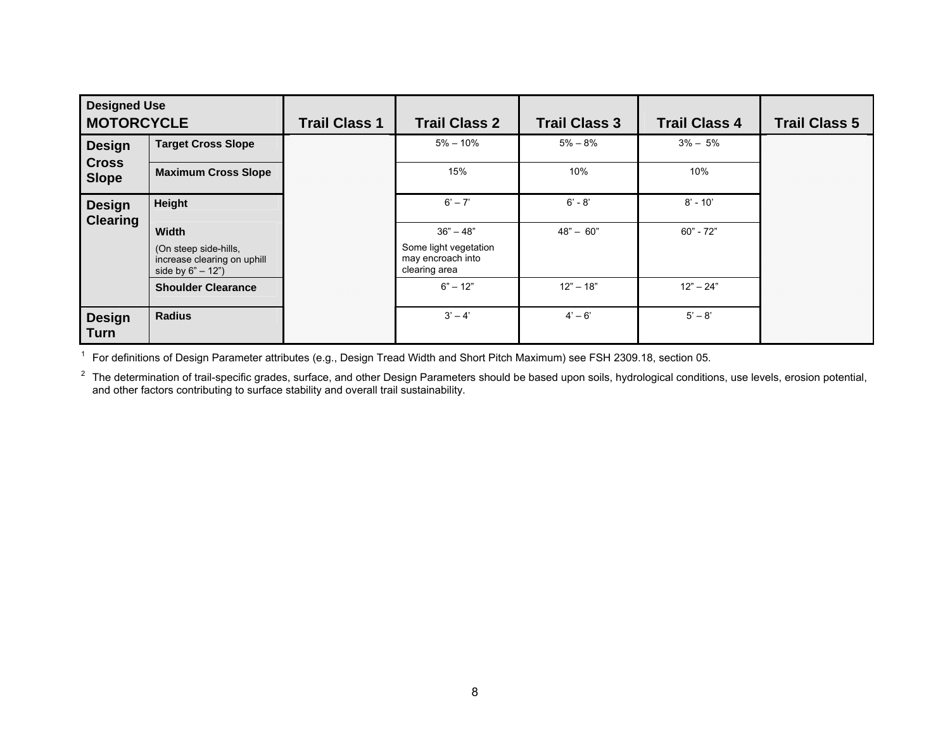| <b>Designed Use</b><br><b>MOTORCYCLE</b> |                                                                            | <b>Trail Class 1</b> | <b>Trail Class 2</b>                                        | <b>Trail Class 3</b> | <b>Trail Class 4</b> | <b>Trail Class 5</b> |
|------------------------------------------|----------------------------------------------------------------------------|----------------------|-------------------------------------------------------------|----------------------|----------------------|----------------------|
| <b>Design</b>                            | <b>Target Cross Slope</b>                                                  |                      | $5\% - 10\%$                                                | $5\% - 8\%$          | $3\% - 5\%$          |                      |
| <b>Cross</b><br><b>Slope</b>             | <b>Maximum Cross Slope</b>                                                 |                      | 15%                                                         | 10%                  | 10%                  |                      |
| <b>Design</b>                            | Height                                                                     |                      | $6' - 7'$                                                   | $6' - 8'$            | $8' - 10'$           |                      |
| <b>Clearing</b>                          | Width                                                                      |                      | $36" - 48"$                                                 | $48" - 60"$          | $60 - 72$            |                      |
|                                          | (On steep side-hills,<br>increase clearing on uphill<br>side by $6" - 12"$ |                      | Some light vegetation<br>may encroach into<br>clearing area |                      |                      |                      |
|                                          | <b>Shoulder Clearance</b>                                                  |                      | $6" - 12"$                                                  | $12" - 18"$          | $12" - 24"$          |                      |
| <b>Design</b><br><b>Turn</b>             | <b>Radius</b>                                                              |                      | $3' - 4'$                                                   | $4' - 6'$            | $5' - 8'$            |                      |

<sup>1</sup> For definitions of Design Parameter attributes (e.g., Design Tread Width and Short Pitch Maximum) see FSH 2309.18, section 05.

 $2$  The determination of trail-specific grades, surface, and other Design Parameters should be based upon soils, hydrological conditions, use levels, erosion potential, and other factors contributing to surface stability and overall trail sustainability.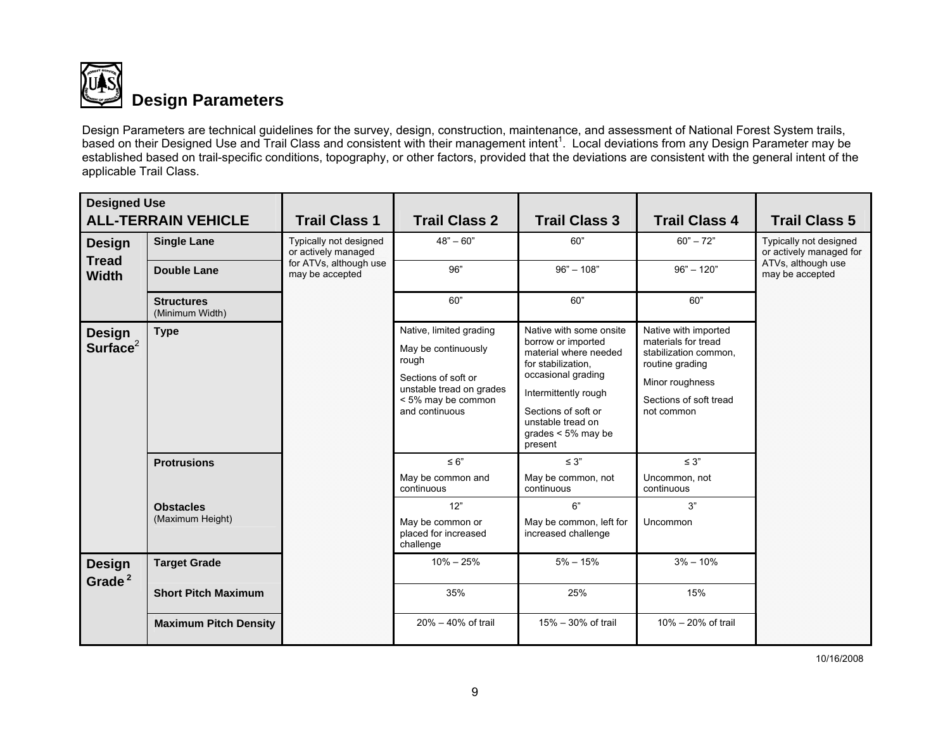

Design Parameters are technical guidelines for the survey, design, construction, maintenance, and assessment of National Forest System trails, based on their Designed Use and Trail Class and consistent with their management intent<sup>1</sup>. Local deviations from any Design Parameter may be established based on trail-specific conditions, topography, or other factors, provided that the deviations are consistent with the general intent of the applicable Trail Class.

| <b>Designed Use</b>                           | <b>ALL-TERRAIN VEHICLE</b>           | <b>Trail Class 1</b>                                                                              | <b>Trail Class 2</b>                                                                                                                               | <b>Trail Class 3</b>                                                                                                                                                                                                       | <b>Trail Class 4</b>                                                                                                                               | <b>Trail Class 5</b>                              |
|-----------------------------------------------|--------------------------------------|---------------------------------------------------------------------------------------------------|----------------------------------------------------------------------------------------------------------------------------------------------------|----------------------------------------------------------------------------------------------------------------------------------------------------------------------------------------------------------------------------|----------------------------------------------------------------------------------------------------------------------------------------------------|---------------------------------------------------|
| <b>Design</b><br><b>Tread</b><br><b>Width</b> | <b>Single Lane</b>                   | <b>Typically not designed</b><br>or actively managed<br>for ATVs, although use<br>may be accepted | $48" - 60"$                                                                                                                                        | 60"                                                                                                                                                                                                                        | $60" - 72"$                                                                                                                                        | Typically not designed<br>or actively managed for |
|                                               | <b>Double Lane</b>                   |                                                                                                   | 96"                                                                                                                                                | $96" - 108"$                                                                                                                                                                                                               | $96" - 120"$                                                                                                                                       | ATVs, although use<br>may be accepted             |
|                                               | <b>Structures</b><br>(Minimum Width) |                                                                                                   | 60"                                                                                                                                                | 60"                                                                                                                                                                                                                        | 60"                                                                                                                                                |                                                   |
| <b>Design</b><br>Surface $2$                  | <b>Type</b>                          |                                                                                                   | Native, limited grading<br>May be continuously<br>rough<br>Sections of soft or<br>unstable tread on grades<br>< 5% may be common<br>and continuous | Native with some onsite<br>borrow or imported<br>material where needed<br>for stabilization.<br>occasional grading<br>Intermittently rough<br>Sections of soft or<br>unstable tread on<br>grades $< 5\%$ may be<br>present | Native with imported<br>materials for tread<br>stabilization common,<br>routine grading<br>Minor roughness<br>Sections of soft tread<br>not common |                                                   |
|                                               | <b>Protrusions</b>                   |                                                                                                   | $\leq 6"$<br>May be common and<br>continuous                                                                                                       | $\leq 3"$<br>May be common, not<br>continuous                                                                                                                                                                              | $\leq 3"$<br>Uncommon, not<br>continuous                                                                                                           |                                                   |
|                                               | <b>Obstacles</b><br>(Maximum Height) |                                                                                                   | 12"<br>May be common or<br>placed for increased<br>challenge                                                                                       | 6"<br>May be common, left for<br>increased challenge                                                                                                                                                                       | 3"<br>Uncommon                                                                                                                                     |                                                   |
| <b>Design</b><br>Grade <sup>2</sup>           | <b>Target Grade</b>                  |                                                                                                   | $10\% - 25\%$                                                                                                                                      | $5\% - 15\%$                                                                                                                                                                                                               | $3\% - 10\%$                                                                                                                                       |                                                   |
|                                               | <b>Short Pitch Maximum</b>           |                                                                                                   | 35%                                                                                                                                                | 25%                                                                                                                                                                                                                        | 15%                                                                                                                                                |                                                   |
|                                               | <b>Maximum Pitch Density</b>         |                                                                                                   | $20\% - 40\%$ of trail                                                                                                                             | 15% - 30% of trail                                                                                                                                                                                                         | 10% - 20% of trail                                                                                                                                 |                                                   |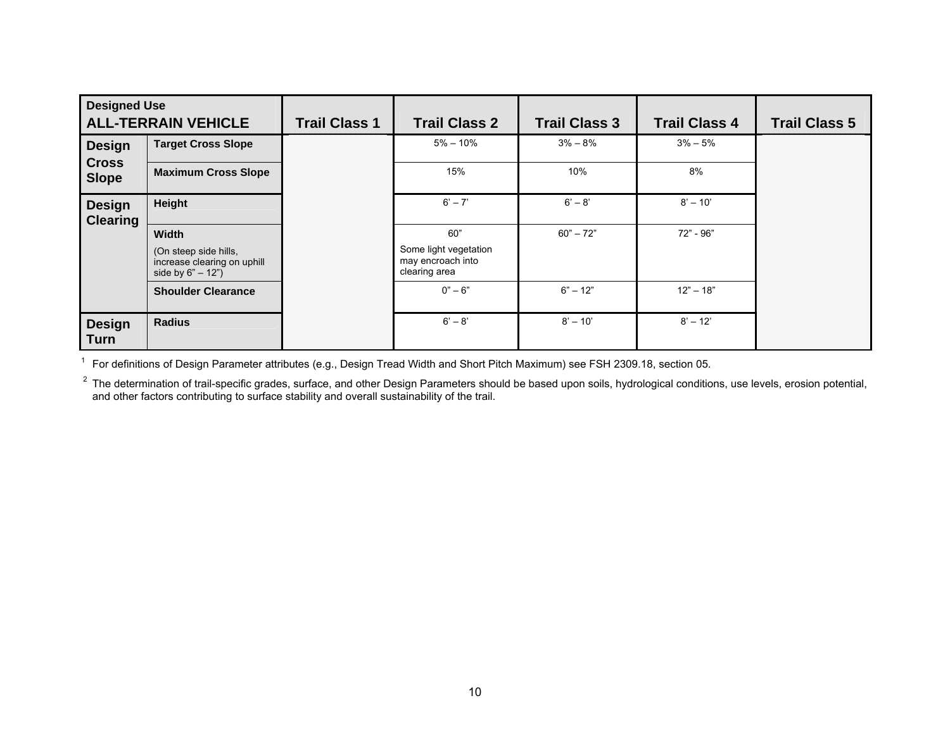| <b>Designed Use</b><br><b>ALL-TERRAIN VEHICLE</b> |                                                                            | <b>Trail Class 1</b> | <b>Trail Class 2</b>                                        | <b>Trail Class 3</b> | <b>Trail Class 4</b> | <b>Trail Class 5</b> |
|---------------------------------------------------|----------------------------------------------------------------------------|----------------------|-------------------------------------------------------------|----------------------|----------------------|----------------------|
| <b>Design</b>                                     | <b>Target Cross Slope</b>                                                  |                      | $5\% - 10\%$                                                | $3\% - 8\%$          | $3\% - 5\%$          |                      |
| <b>Cross</b><br><b>Slope</b>                      | <b>Maximum Cross Slope</b>                                                 |                      | 15%                                                         | 10%                  | 8%                   |                      |
| <b>Design</b><br><b>Clearing</b>                  | Height                                                                     |                      | $6' - 7'$                                                   | $6' - 8'$            | $8' - 10'$           |                      |
|                                                   | Width                                                                      |                      | 60"                                                         | $60 - 72$ "          | 72" - 96"            |                      |
|                                                   | (On steep side hills,<br>increase clearing on uphill<br>side by $6" - 12"$ |                      | Some light vegetation<br>may encroach into<br>clearing area |                      |                      |                      |
|                                                   | <b>Shoulder Clearance</b>                                                  |                      | $0" - 6"$                                                   | $6" - 12"$           | $12" - 18"$          |                      |
| <b>Design</b><br><b>Turn</b>                      | <b>Radius</b>                                                              |                      | $6' - 8'$                                                   | $8' - 10'$           | $8' - 12'$           |                      |

1 For definitions of Design Parameter attributes (e.g., Design Tread Width and Short Pitch Maximum) see FSH 2309.18, section 05.

<sup>2</sup> The determination of trail-specific grades, surface, and other Design Parameters should be based upon soils, hydrological conditions, use levels, erosion potential, and other factors contributing to surface stability and overall sustainability of the trail.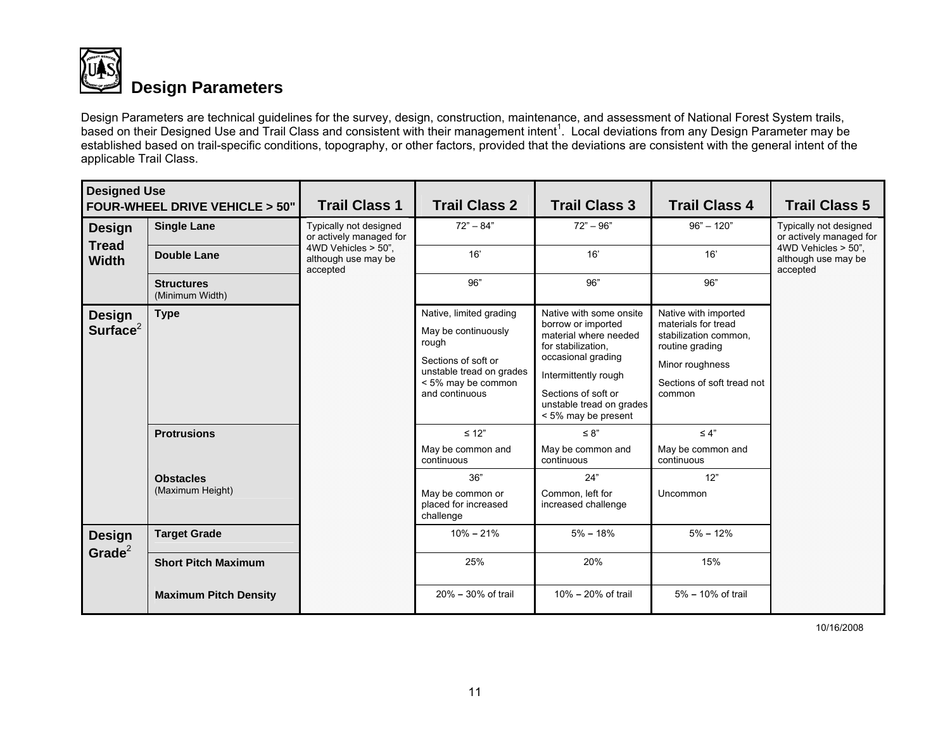

## **Design Parameters**

Design Parameters are technical guidelines for the survey, design, construction, maintenance, and assessment of National Forest System trails, based on their Designed Use and Trail Class and consistent with their management intent<sup>1</sup>. Local deviations from any Design Parameter may be established based on trail-specific conditions, topography, or other factors, provided that the deviations are consistent with the general intent of the applicable Trail Class.

| <b>Designed Use</b>          | FOUR-WHEEL DRIVE VEHICLE > 50"       | <b>Trail Class 1</b>                                   | <b>Trail Class 2</b>                                                                                                                               | <b>Trail Class 3</b>                                                                                                                                                                                                 | <b>Trail Class 4</b>                                                                                                                               | <b>Trail Class 5</b>                                   |
|------------------------------|--------------------------------------|--------------------------------------------------------|----------------------------------------------------------------------------------------------------------------------------------------------------|----------------------------------------------------------------------------------------------------------------------------------------------------------------------------------------------------------------------|----------------------------------------------------------------------------------------------------------------------------------------------------|--------------------------------------------------------|
| <b>Design</b>                | <b>Single Lane</b>                   | Typically not designed<br>or actively managed for      | $72" - 84"$                                                                                                                                        | $72" - 96"$                                                                                                                                                                                                          | $96" - 120"$                                                                                                                                       | Typically not designed<br>or actively managed for      |
| <b>Tread</b><br><b>Width</b> | <b>Double Lane</b>                   | 4WD Vehicles > 50",<br>although use may be<br>accepted | 16'                                                                                                                                                | 16'                                                                                                                                                                                                                  | 16'                                                                                                                                                | 4WD Vehicles > 50",<br>although use may be<br>accepted |
|                              | <b>Structures</b><br>(Minimum Width) |                                                        | 96"                                                                                                                                                | 96"                                                                                                                                                                                                                  | 96"                                                                                                                                                |                                                        |
| <b>Design</b><br>Surface $2$ | <b>Type</b>                          |                                                        | Native, limited grading<br>May be continuously<br>rough<br>Sections of soft or<br>unstable tread on grades<br>< 5% may be common<br>and continuous | Native with some onsite<br>borrow or imported<br>material where needed<br>for stabilization.<br>occasional grading<br>Intermittently rough<br>Sections of soft or<br>unstable tread on grades<br>< 5% may be present | Native with imported<br>materials for tread<br>stabilization common,<br>routine grading<br>Minor roughness<br>Sections of soft tread not<br>common |                                                        |
|                              | <b>Protrusions</b>                   |                                                        | $\leq 12$ "<br>May be common and<br>continuous                                                                                                     | $\leq 8"$<br>May be common and<br>continuous                                                                                                                                                                         | $\leq 4"$<br>May be common and<br>continuous                                                                                                       |                                                        |
|                              | <b>Obstacles</b><br>(Maximum Height) |                                                        | 36"<br>May be common or<br>placed for increased<br>challenge                                                                                       | 24"<br>Common, left for<br>increased challenge                                                                                                                                                                       | 12"<br>Uncommon                                                                                                                                    |                                                        |
| <b>Design</b>                | <b>Target Grade</b>                  |                                                        | $10\% - 21\%$                                                                                                                                      | $5\% - 18\%$                                                                                                                                                                                                         | $5% - 12%$                                                                                                                                         |                                                        |
| Grade $2$                    | <b>Short Pitch Maximum</b>           |                                                        | 25%                                                                                                                                                | 20%                                                                                                                                                                                                                  | 15%                                                                                                                                                |                                                        |
|                              | <b>Maximum Pitch Density</b>         |                                                        | 20% - 30% of trail                                                                                                                                 | 10% - 20% of trail                                                                                                                                                                                                   | 5% - 10% of trail                                                                                                                                  |                                                        |

10/16/2008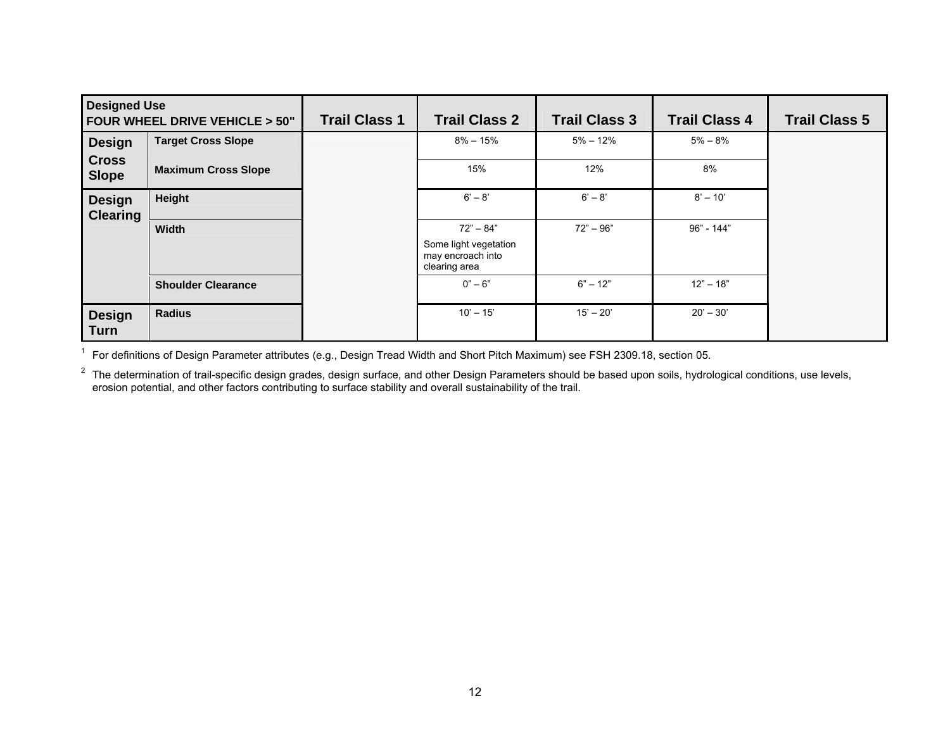| <b>Designed Use</b>              | FOUR WHEEL DRIVE VEHICLE > 50" | <b>Trail Class 1</b> | <b>Trail Class 2</b>                                        | <b>Trail Class 3</b> | <b>Trail Class 4</b> | <b>Trail Class 5</b> |
|----------------------------------|--------------------------------|----------------------|-------------------------------------------------------------|----------------------|----------------------|----------------------|
| <b>Design</b>                    | <b>Target Cross Slope</b>      |                      | $8\% - 15\%$                                                | $5\% - 12\%$         | $5\% - 8\%$          |                      |
| <b>Cross</b><br><b>Slope</b>     | <b>Maximum Cross Slope</b>     |                      | 15%                                                         | 12%                  | 8%                   |                      |
| <b>Design</b><br><b>Clearing</b> | Height                         |                      | $6' - 8'$                                                   | $6' - 8'$            | $8' - 10'$           |                      |
|                                  | Width                          |                      | $72" - 84"$                                                 | $72" - 96"$          | $96" - 144"$         |                      |
|                                  |                                |                      | Some light vegetation<br>may encroach into<br>clearing area |                      |                      |                      |
|                                  | <b>Shoulder Clearance</b>      |                      | $0" - 6"$                                                   | $6" - 12"$           | $12" - 18"$          |                      |
| <b>Design</b><br><b>Turn</b>     | <b>Radius</b>                  |                      | $10' - 15'$                                                 | $15' - 20'$          | $20' - 30'$          |                      |

1 For definitions of Design Parameter attributes (e.g., Design Tread Width and Short Pitch Maximum) see FSH 2309.18, section 05.

 $^2$  The determination of trail-specific design grades, design surface, and other Design Parameters should be based upon soils, hydrological conditions, use levels, erosion potential, and other factors contributing to surface stability and overall sustainability of the trail.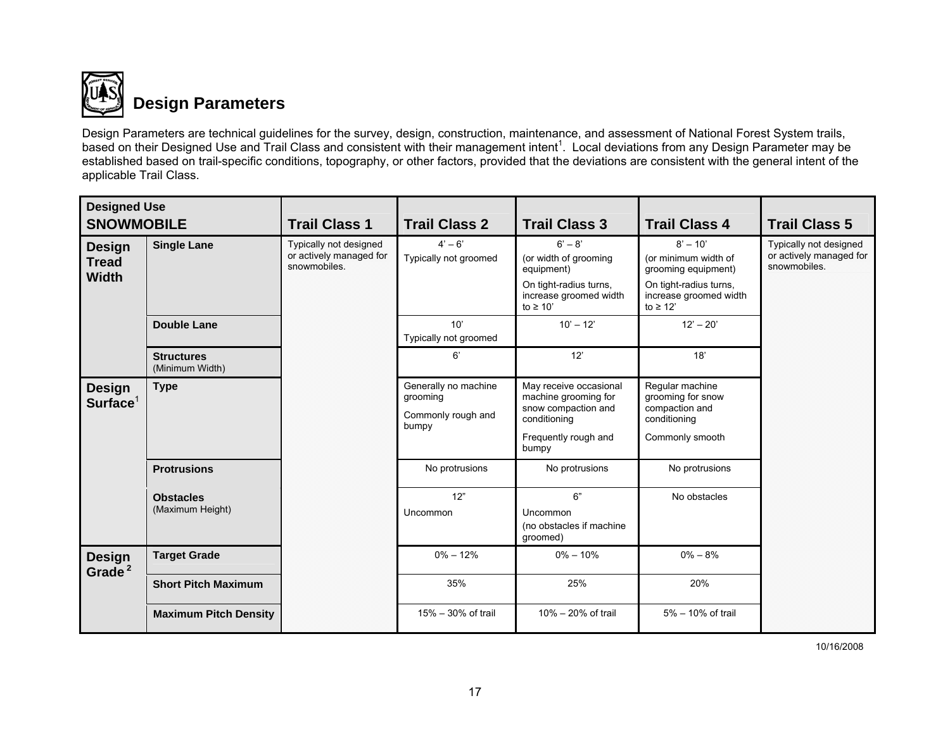

## **Design Parameters**

Design Parameters are technical guidelines for the survey, design, construction, maintenance, and assessment of National Forest System trails, based on their Designed Use and Trail Class and consistent with their management intent<sup>1</sup>. Local deviations from any Design Parameter may be established based on trail-specific conditions, topography, or other factors, provided that the deviations are consistent with the general intent of the applicable Trail Class.

| <b>Designed Use</b><br><b>SNOWMOBILE</b>      |                                      | <b>Trail Class 1</b>                                              | <b>Trail Class 2</b>                                            | <b>Trail Class 3</b>                                                                                                   | <b>Trail Class 4</b>                                                                                                           | <b>Trail Class 5</b>                                              |
|-----------------------------------------------|--------------------------------------|-------------------------------------------------------------------|-----------------------------------------------------------------|------------------------------------------------------------------------------------------------------------------------|--------------------------------------------------------------------------------------------------------------------------------|-------------------------------------------------------------------|
| <b>Design</b><br><b>Tread</b><br><b>Width</b> | <b>Single Lane</b>                   | Typically not designed<br>or actively managed for<br>snowmobiles. | $4' - 6'$<br>Typically not groomed                              | $6' - 8'$<br>(or width of grooming<br>equipment)<br>On tight-radius turns,<br>increase groomed width<br>to $\geq 10'$  | $8' - 10'$<br>(or minimum width of<br>grooming equipment)<br>On tight-radius turns,<br>increase groomed width<br>to $\geq 12'$ | Typically not designed<br>or actively managed for<br>snowmobiles. |
|                                               | <b>Double Lane</b>                   |                                                                   | 10'<br>Typically not groomed                                    | $10' - 12'$                                                                                                            | $12' - 20'$                                                                                                                    |                                                                   |
|                                               | <b>Structures</b><br>(Minimum Width) |                                                                   | 6'                                                              | 12'                                                                                                                    | 18'                                                                                                                            |                                                                   |
| <b>Design</b><br>Surface <sup>1</sup>         | <b>Type</b>                          |                                                                   | Generally no machine<br>grooming<br>Commonly rough and<br>bumpy | May receive occasional<br>machine grooming for<br>snow compaction and<br>conditioning<br>Frequently rough and<br>bumpy | Regular machine<br>grooming for snow<br>compaction and<br>conditioning<br>Commonly smooth                                      |                                                                   |
|                                               | <b>Protrusions</b>                   |                                                                   | No protrusions                                                  | No protrusions                                                                                                         | No protrusions                                                                                                                 |                                                                   |
|                                               | <b>Obstacles</b><br>(Maximum Height) |                                                                   | 12"<br>Uncommon                                                 | 6"<br>Uncommon<br>(no obstacles if machine<br>groomed)                                                                 | No obstacles                                                                                                                   |                                                                   |
| <b>Design</b><br>Grade <sup>2</sup>           | <b>Target Grade</b>                  |                                                                   | $0\% - 12\%$                                                    | $0\% - 10\%$                                                                                                           | $0\% - 8\%$                                                                                                                    |                                                                   |
|                                               | <b>Short Pitch Maximum</b>           |                                                                   | 35%                                                             | 25%                                                                                                                    | 20%                                                                                                                            |                                                                   |
|                                               | <b>Maximum Pitch Density</b>         |                                                                   | 15% - 30% of trail                                              | 10% - 20% of trail                                                                                                     | 5% - 10% of trail                                                                                                              |                                                                   |

10/16/2008